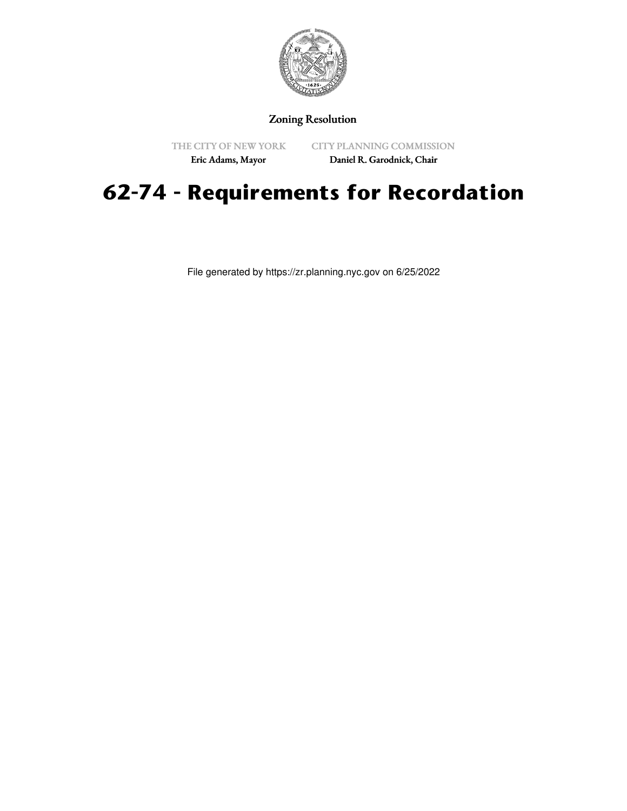

## Zoning Resolution

THE CITY OF NEW YORK

CITY PLANNING COMMISSION

Eric Adams, Mayor

Daniel R. Garodnick, Chair

## **62-74 - Requirements for Recordation**

File generated by https://zr.planning.nyc.gov on 6/25/2022